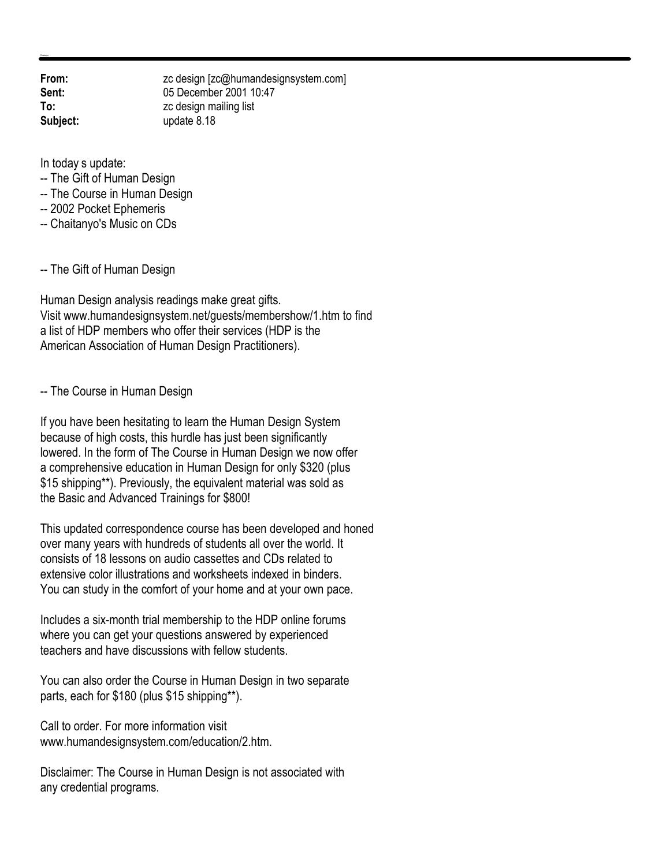**From:** zc design [zc@humandesignsystem.com]<br> **Sent:** 05 December 2001 10:47 **Sent:** 05 December 2001 10:47 **To:** zc design mailing list **Subject:** update 8.18

In today s update:

- -- The Gift of Human Design
- -- The Course in Human Design
- -- 2002 Pocket Ephemeris
- -- Chaitanyo's Music on CDs

-- The Gift of Human Design

Human Design analysis readings make great gifts. Visit www.humandesignsystem.net/guests/membershow/1.htm to find a list of HDP members who offer their services (HDP is the American Association of Human Design Practitioners).

-- The Course in Human Design

If you have been hesitating to learn the Human Design System because of high costs, this hurdle has just been significantly lowered. In the form of The Course in Human Design we now offer a comprehensive education in Human Design for only \$320 (plus \$15 shipping\*\*). Previously, the equivalent material was sold as the Basic and Advanced Trainings for \$800!

This updated correspondence course has been developed and honed over many years with hundreds of students all over the world. It consists of 18 lessons on audio cassettes and CDs related to extensive color illustrations and worksheets indexed in binders. You can study in the comfort of your home and at your own pace.

Includes a six-month trial membership to the HDP online forums where you can get your questions answered by experienced teachers and have discussions with fellow students.

You can also order the Course in Human Design in two separate parts, each for \$180 (plus \$15 shipping\*\*).

Call to order. For more information visit www.humandesignsystem.com/education/2.htm.

Disclaimer: The Course in Human Design is not associated with any credential programs.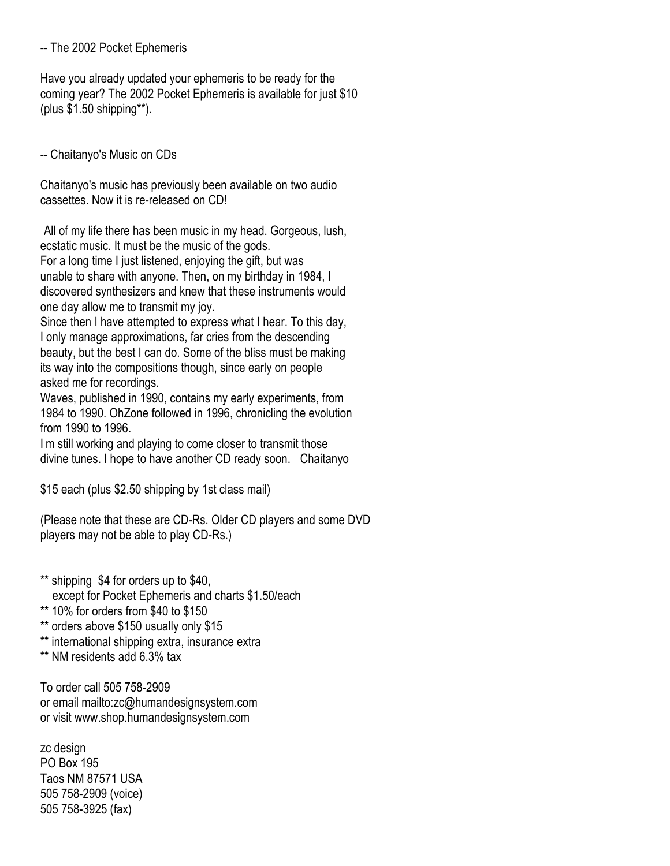## -- The 2002 Pocket Ephemeris

Have you already updated your ephemeris to be ready for the coming year? The 2002 Pocket Ephemeris is available for just \$10 (plus \$1.50 shipping\*\*).

-- Chaitanyo's Music on CDs

Chaitanyo's music has previously been available on two audio cassettes. Now it is re-released on CD!

All of my life there has been music in my head. Gorgeous, lush, ecstatic music. It must be the music of the gods.

For a long time I just listened, enjoying the gift, but was unable to share with anyone. Then, on my birthday in 1984, I discovered synthesizers and knew that these instruments would one day allow me to transmit my joy.

Since then I have attempted to express what I hear. To this day, I only manage approximations, far cries from the descending beauty, but the best I can do. Some of the bliss must be making its way into the compositions though, since early on people asked me for recordings.

Waves, published in 1990, contains my early experiments, from 1984 to 1990. OhZone followed in 1996, chronicling the evolution from 1990 to 1996.

I'm still working and playing to come closer to transmit those divine tunes. I hope to have another CD ready soon." Chaitanyo

\$15 each (plus \$2.50 shipping by 1st class mail)

(Please note that these are CD-Rs. Older CD players and some DVD players may not be able to play CD-Rs.)

- \*\* shipping \$4 for orders up to \$40, except for Pocket Ephemeris and charts \$1.50/each
- \*\* 10% for orders from \$40 to \$150
- \*\* orders above \$150 usually only \$15
- \*\* international shipping extra, insurance extra
- \*\* NM residents add 6.3% tax

To order call 505 758-2909 or email mailto:zc@humandesignsystem.com or visit www.shop.humandesignsystem.com

zc design PO Box 195 Taos NM 87571 USA 505 758-2909 (voice) 505 758-3925 (fax)